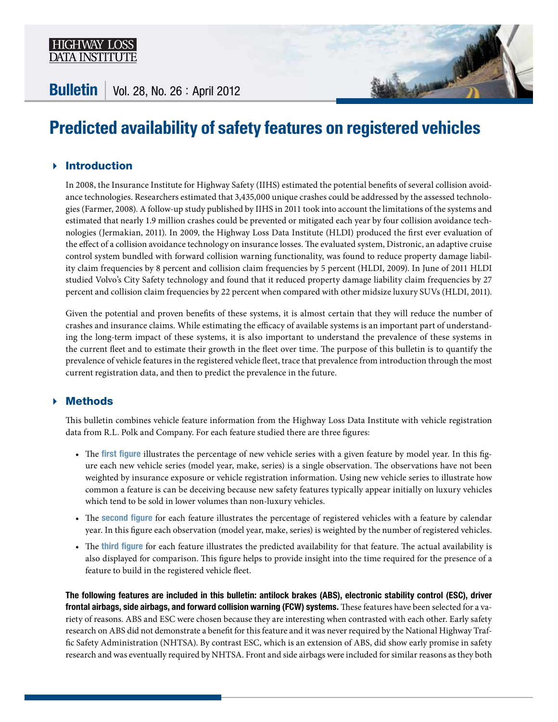

**Bulletin** | Vol. 28, No. 26 : April 2012

# **Predicted availability of safety features on registered vehicles**

# Introduction

In 2008, the Insurance Institute for Highway Safety (IIHS) estimated the potential benefits of several collision avoidance technologies. Researchers estimated that 3,435,000 unique crashes could be addressed by the assessed technologies (Farmer, 2008). A follow-up study published by IIHS in 2011 took into account the limitations of the systems and estimated that nearly 1.9 million crashes could be prevented or mitigated each year by four collision avoidance technologies (Jermakian, 2011). In 2009, the Highway Loss Data Institute (HLDI) produced the first ever evaluation of the effect of a collision avoidance technology on insurance losses. The evaluated system, Distronic, an adaptive cruise control system bundled with forward collision warning functionality, was found to reduce property damage liability claim frequencies by 8 percent and collision claim frequencies by 5 percent (HLDI, 2009). In June of 2011 HLDI studied Volvo's City Safety technology and found that it reduced property damage liability claim frequencies by 27 percent and collision claim frequencies by 22 percent when compared with other midsize luxury SUVs (HLDI, 2011).

Given the potential and proven benefits of these systems, it is almost certain that they will reduce the number of crashes and insurance claims. While estimating the efficacy of available systems is an important part of understanding the long-term impact of these systems, it is also important to understand the prevalence of these systems in the current fleet and to estimate their growth in the fleet over time. The purpose of this bulletin is to quantify the prevalence of vehicle features in the registered vehicle fleet, trace that prevalence from introduction through the most current registration data, and then to predict the prevalence in the future.

## Methods

This bulletin combines vehicle feature information from the Highway Loss Data Institute with vehicle registration data from R.L. Polk and Company. For each feature studied there are three figures:

- The first figure illustrates the percentage of new vehicle series with a given feature by model year. In this figure each new vehicle series (model year, make, series) is a single observation. The observations have not been weighted by insurance exposure or vehicle registration information. Using new vehicle series to illustrate how common a feature is can be deceiving because new safety features typically appear initially on luxury vehicles which tend to be sold in lower volumes than non-luxury vehicles.
- The second figure for each feature illustrates the percentage of registered vehicles with a feature by calendar year. In this figure each observation (model year, make, series) is weighted by the number of registered vehicles.
- The third figure for each feature illustrates the predicted availability for that feature. The actual availability is also displayed for comparison. This figure helps to provide insight into the time required for the presence of a feature to build in the registered vehicle fleet.

The following features are included in this bulletin: antilock brakes (ABS), electronic stability control (ESC), driver frontal airbags, side airbags, and forward collision warning (FCW) systems. These features have been selected for a variety of reasons. ABS and ESC were chosen because they are interesting when contrasted with each other. Early safety research on ABS did not demonstrate a benefit for this feature and it was never required by the National Highway Traffic Safety Administration (NHTSA). By contrast ESC, which is an extension of ABS, did show early promise in safety research and was eventually required by NHTSA. Front and side airbags were included for similar reasons as they both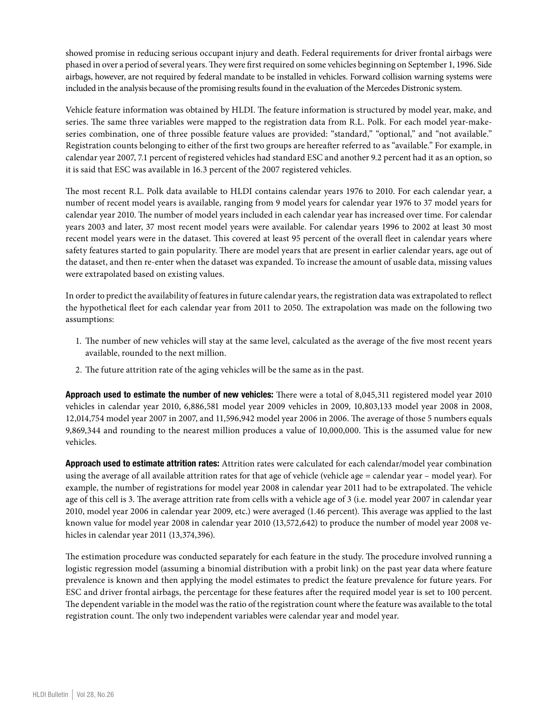showed promise in reducing serious occupant injury and death. Federal requirements for driver frontal airbags were phased in over a period of several years. They were first required on some vehicles beginning on September 1, 1996. Side airbags, however, are not required by federal mandate to be installed in vehicles. Forward collision warning systems were included in the analysis because of the promising results found in the evaluation of the Mercedes Distronic system.

Vehicle feature information was obtained by HLDI. The feature information is structured by model year, make, and series. The same three variables were mapped to the registration data from R.L. Polk. For each model year-makeseries combination, one of three possible feature values are provided: "standard," "optional," and "not available." Registration counts belonging to either of the first two groups are hereafter referred to as "available." For example, in calendar year 2007, 7.1 percent of registered vehicles had standard ESC and another 9.2 percent had it as an option, so it is said that ESC was available in 16.3 percent of the 2007 registered vehicles.

The most recent R.L. Polk data available to HLDI contains calendar years 1976 to 2010. For each calendar year, a number of recent model years is available, ranging from 9 model years for calendar year 1976 to 37 model years for calendar year 2010. The number of model years included in each calendar year has increased over time. For calendar years 2003 and later, 37 most recent model years were available. For calendar years 1996 to 2002 at least 30 most recent model years were in the dataset. This covered at least 95 percent of the overall fleet in calendar years where safety features started to gain popularity. There are model years that are present in earlier calendar years, age out of the dataset, and then re-enter when the dataset was expanded. To increase the amount of usable data, missing values were extrapolated based on existing values.

In order to predict the availability of features in future calendar years, the registration data was extrapolated to reflect the hypothetical fleet for each calendar year from 2011 to 2050. The extrapolation was made on the following two assumptions:

- 1. The number of new vehicles will stay at the same level, calculated as the average of the five most recent years available, rounded to the next million.
- 2. The future attrition rate of the aging vehicles will be the same as in the past.

Approach used to estimate the number of new vehicles: There were a total of 8,045,311 registered model year 2010 vehicles in calendar year 2010, 6,886,581 model year 2009 vehicles in 2009, 10,803,133 model year 2008 in 2008, 12,014,754 model year 2007 in 2007, and 11,596,942 model year 2006 in 2006. The average of those 5 numbers equals 9,869,344 and rounding to the nearest million produces a value of 10,000,000. This is the assumed value for new vehicles.

Approach used to estimate attrition rates: Attrition rates were calculated for each calendar/model year combination using the average of all available attrition rates for that age of vehicle (vehicle age = calendar year – model year). For example, the number of registrations for model year 2008 in calendar year 2011 had to be extrapolated. The vehicle age of this cell is 3. The average attrition rate from cells with a vehicle age of 3 (i.e. model year 2007 in calendar year 2010, model year 2006 in calendar year 2009, etc.) were averaged (1.46 percent). This average was applied to the last known value for model year 2008 in calendar year 2010 (13,572,642) to produce the number of model year 2008 vehicles in calendar year 2011 (13,374,396).

The estimation procedure was conducted separately for each feature in the study. The procedure involved running a logistic regression model (assuming a binomial distribution with a probit link) on the past year data where feature prevalence is known and then applying the model estimates to predict the feature prevalence for future years. For ESC and driver frontal airbags, the percentage for these features after the required model year is set to 100 percent. The dependent variable in the model was the ratio of the registration count where the feature was available to the total registration count. The only two independent variables were calendar year and model year.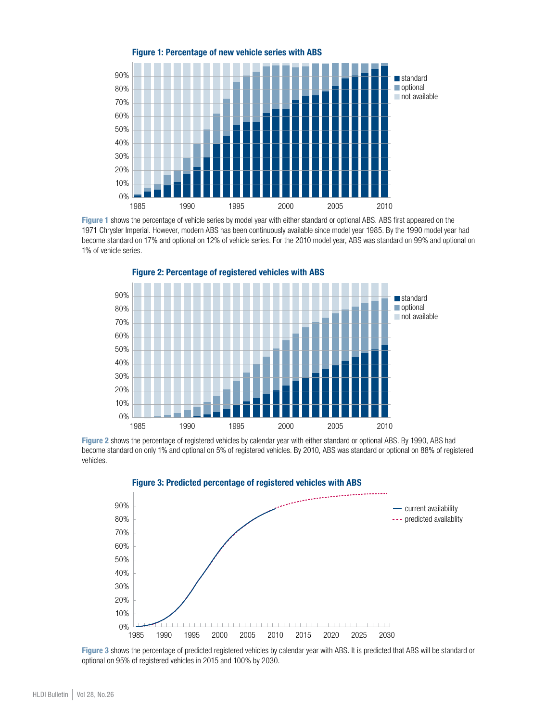

Figure 1 shows the percentage of vehicle series by model year with either standard or optional ABS. ABS first appeared on the 1971 Chrysler Imperial. However, modern ABS has been continuously available since model year 1985. By the 1990 model year had become standard on 17% and optional on 12% of vehicle series. For the 2010 model year, ABS was standard on 99% and optional on 1% of vehicle series.



Figure 2: Percentage of registered vehicles with ABS

Figure 2 shows the percentage of registered vehicles by calendar year with either standard or optional ABS. By 1990, ABS had become standard on only 1% and optional on 5% of registered vehicles. By 2010, ABS was standard or optional on 88% of registered vehicles.



Figure 3 shows the percentage of predicted registered vehicles by calendar year with ABS. It is predicted that ABS will be standard or optional on 95% of registered vehicles in 2015 and 100% by 2030.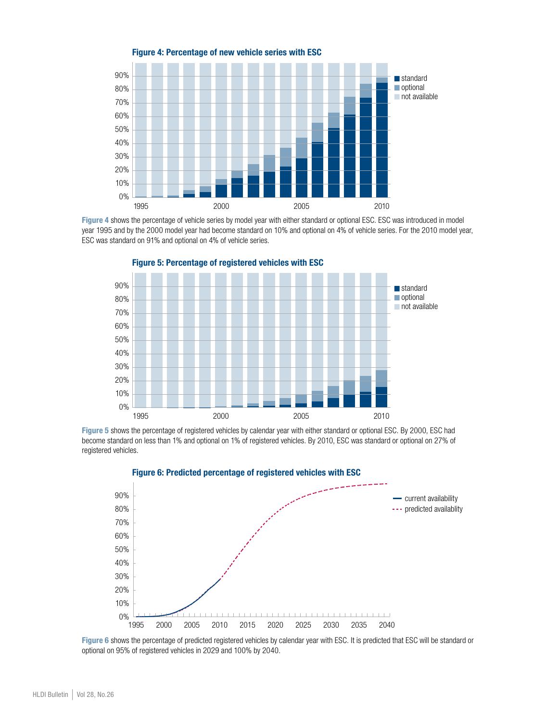

Figure 4 shows the percentage of vehicle series by model year with either standard or optional ESC. ESC was introduced in model year 1995 and by the 2000 model year had become standard on 10% and optional on 4% of vehicle series. For the 2010 model year, ESC was standard on 91% and optional on 4% of vehicle series.



Figure 5: Percentage of registered vehicles with ESC

Figure 5 shows the percentage of registered vehicles by calendar year with either standard or optional ESC. By 2000, ESC had become standard on less than 1% and optional on 1% of registered vehicles. By 2010, ESC was standard or optional on 27% of registered vehicles.



Figure 6 shows the percentage of predicted registered vehicles by calendar year with ESC. It is predicted that ESC will be standard or optional on 95% of registered vehicles in 2029 and 100% by 2040.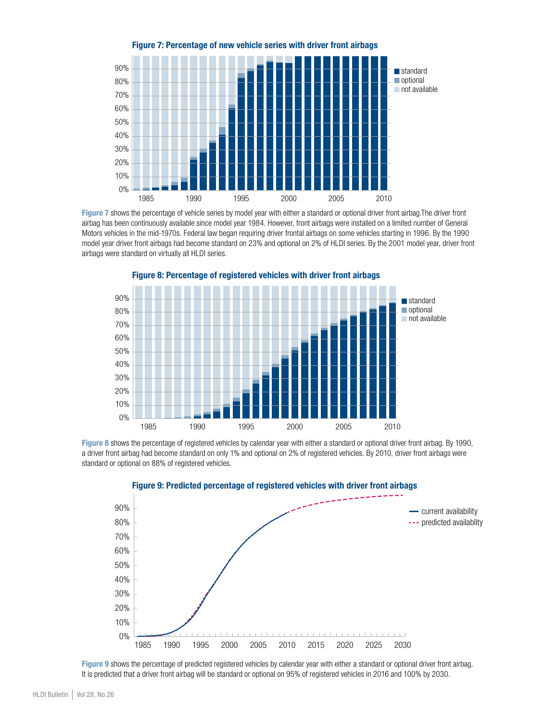

Figure 7 shows the percentage of vehicle series by model year with either a standard or optional driver front airbag.The driver front airbag has been continuously available since model year 1984. However, front airbags were installed on a limited number of General Motors vehicles in the mid-1970s. Federal law began requiring driver frontal airbags on some vehicles starting in 1996. By the 1990 model year driver front airbags had become standard on 23% and optional on 2% of HLDI series. By the 2001 model year, driver front airbags were standard on virtually all HLDI series.



## Figure 8: Percentage of registered vehicles with driver front airbags

Figure 8 shows the percentage of registered vehicles by calendar year with either a standard or optional driver front airbag. By 1990, a driver front airbag had become standard on only 1% and optional on 2% of registered vehicles. By 2010, driver front airbags were standard or optional on 88% of registered vehicles.



Figure 9 shows the percentage of predicted registered vehicles by calendar year with either a standard or optional driver front airbag. It is predicted that a driver front airbag will be standard or optional on 95% of registered vehicles in 2016 and 100% by 2030.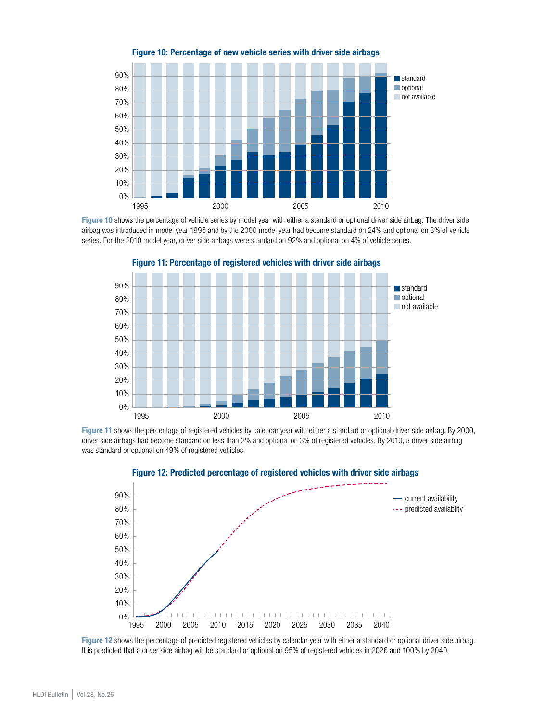

Figure 10: Percentage of new vehicle series with driver side airbags

Figure 10 shows the percentage of vehicle series by model year with either a standard or optional driver side airbag. The driver side airbag was introduced in model year 1995 and by the 2000 model year had become standard on 24% and optional on 8% of vehicle series. For the 2010 model year, driver side airbags were standard on 92% and optional on 4% of vehicle series.



Figure 11: Percentage of registered vehicles with driver side airbags

Figure 11 shows the percentage of registered vehicles by calendar year with either a standard or optional driver side airbag. By 2000, driver side airbags had become standard on less than 2% and optional on 3% of registered vehicles. By 2010, a driver side airbag was standard or optional on 49% of registered vehicles.



Figure 12: Predicted percentage of registered vehicles with driver side airbags

Figure 12 shows the percentage of predicted registered vehicles by calendar year with either a standard or optional driver side airbag. It is predicted that a driver side airbag will be standard or optional on 95% of registered vehicles in 2026 and 100% by 2040.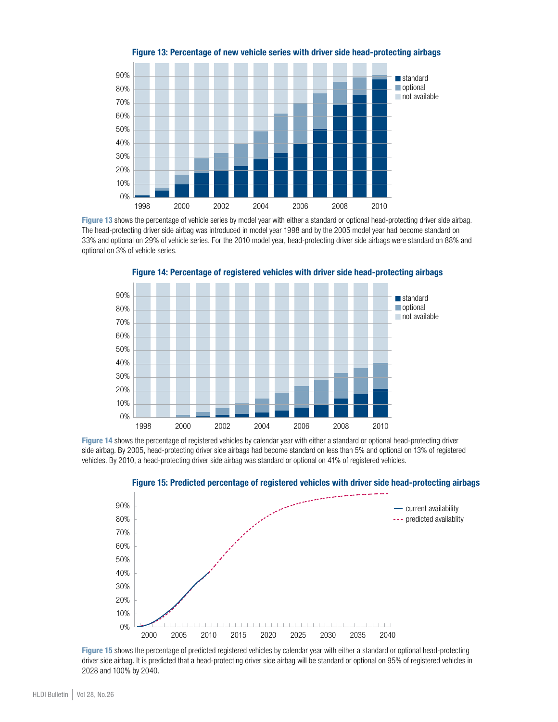

Figure 13: Percentage of new vehicle series with driver side head-protecting airbags

Figure 13 shows the percentage of vehicle series by model year with either a standard or optional head-protecting driver side airbag. The head-protecting driver side airbag was introduced in model year 1998 and by the 2005 model year had become standard on 33% and optional on 29% of vehicle series. For the 2010 model year, head-protecting driver side airbags were standard on 88% and optional on 3% of vehicle series.



Figure 14: Percentage of registered vehicles with driver side head-protecting airbags

Figure 14 shows the percentage of registered vehicles by calendar year with either a standard or optional head-protecting driver side airbag. By 2005, head-protecting driver side airbags had become standard on less than 5% and optional on 13% of registered vehicles. By 2010, a head-protecting driver side airbag was standard or optional on 41% of registered vehicles.





Figure 15 shows the percentage of predicted registered vehicles by calendar year with either a standard or optional head-protecting driver side airbag. It is predicted that a head-protecting driver side airbag will be standard or optional on 95% of registered vehicles in 2028 and 100% by 2040.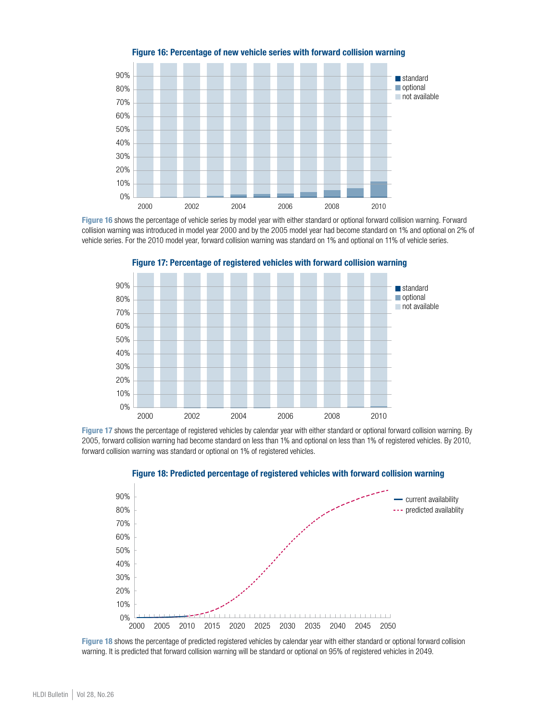

Figure 16: Percentage of new vehicle series with forward collision warning

Figure 16 shows the percentage of vehicle series by model year with either standard or optional forward collision warning. Forward collision warning was introduced in model year 2000 and by the 2005 model year had become standard on 1% and optional on 2% of vehicle series. For the 2010 model year, forward collision warning was standard on 1% and optional on 11% of vehicle series.



Figure 17: Percentage of registered vehicles with forward collision warning

Figure 17 shows the percentage of registered vehicles by calendar year with either standard or optional forward collision warning. By 2005, forward collision warning had become standard on less than 1% and optional on less than 1% of registered vehicles. By 2010, forward collision warning was standard or optional on 1% of registered vehicles.



#### Figure 18: Predicted percentage of registered vehicles with forward collision warning

Figure 18 shows the percentage of predicted registered vehicles by calendar year with either standard or optional forward collision warning. It is predicted that forward collision warning will be standard or optional on 95% of registered vehicles in 2049.